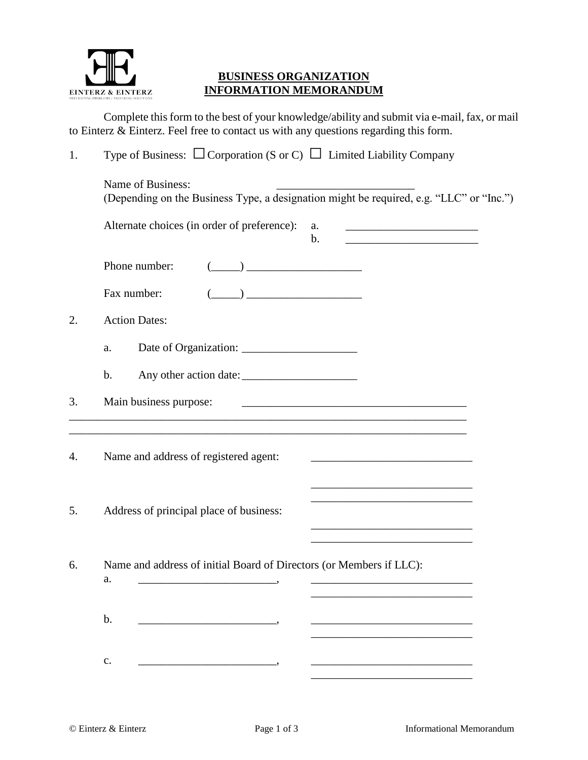

## **BUSINESS ORGANIZATION INFORMATION MEMORANDUM**

Complete this form to the best of your knowledge/ability and submit via e-mail, fax, or mail to Einterz & Einterz. Feel free to contact us with any questions regarding this form.

| 1. | Type of Business: $\Box$ Corporation (S or C) $\Box$ Limited Liability Company                                                                                                                                                                                                                                                                                       |
|----|----------------------------------------------------------------------------------------------------------------------------------------------------------------------------------------------------------------------------------------------------------------------------------------------------------------------------------------------------------------------|
|    | Name of Business:<br>(Depending on the Business Type, a designation might be required, e.g. "LLC" or "Inc.")                                                                                                                                                                                                                                                         |
|    | Alternate choices (in order of preference):<br>a.<br>b.<br><u> 1989 - Johann Barn, mars ann an t-Amhain an t-Amhain an t-Amhain an t-Amhain an t-Amhain an t-Amhain an t-A</u>                                                                                                                                                                                       |
|    | Phone number:<br>$\begin{picture}(20,10) \put(0,0){\line(1,0){10}} \put(15,0){\line(1,0){10}} \put(15,0){\line(1,0){10}} \put(15,0){\line(1,0){10}} \put(15,0){\line(1,0){10}} \put(15,0){\line(1,0){10}} \put(15,0){\line(1,0){10}} \put(15,0){\line(1,0){10}} \put(15,0){\line(1,0){10}} \put(15,0){\line(1,0){10}} \put(15,0){\line(1,0){10}} \put(15,0){\line(1$ |
|    | $\begin{picture}(20,10) \put(0,0){\line(1,0){10}} \put(15,0){\line(1,0){10}} \put(15,0){\line(1,0){10}} \put(15,0){\line(1,0){10}} \put(15,0){\line(1,0){10}} \put(15,0){\line(1,0){10}} \put(15,0){\line(1,0){10}} \put(15,0){\line(1,0){10}} \put(15,0){\line(1,0){10}} \put(15,0){\line(1,0){10}} \put(15,0){\line(1,0){10}} \put(15,0){\line(1$<br>Fax number:   |
| 2. | <b>Action Dates:</b>                                                                                                                                                                                                                                                                                                                                                 |
|    | a.                                                                                                                                                                                                                                                                                                                                                                   |
|    | $\mathbf b$ .                                                                                                                                                                                                                                                                                                                                                        |
| 3. | Main business purpose:<br><u> 2000 - Jan James James Jan James James Jan James James Jan James James Jan Jan James James Jan Jan Jan Jan Ja</u>                                                                                                                                                                                                                      |
| 4. | ,我们也不能在这里的时候,我们也不能在这里的时候,我们也不能会在这里的时候,我们也不能会在这里的时候,我们也不能会在这里的时候,我们也不能会在这里的时候,我们也不<br>Name and address of registered agent:                                                                                                                                                                                                                                           |
| 5. | Address of principal place of business:<br>the control of the control of the control of the control of the control of the control of                                                                                                                                                                                                                                 |
| 6. | Name and address of initial Board of Directors (or Members if LLC):<br>a.                                                                                                                                                                                                                                                                                            |
|    | b.                                                                                                                                                                                                                                                                                                                                                                   |

c. \_\_\_\_\_\_\_\_\_\_\_\_\_\_\_\_\_\_\_\_\_\_\_\_, \_\_\_\_\_\_\_\_\_\_\_\_\_\_\_\_\_\_\_\_\_\_\_\_\_\_\_\_

\_\_\_\_\_\_\_\_\_\_\_\_\_\_\_\_\_\_\_\_\_\_\_\_\_\_\_\_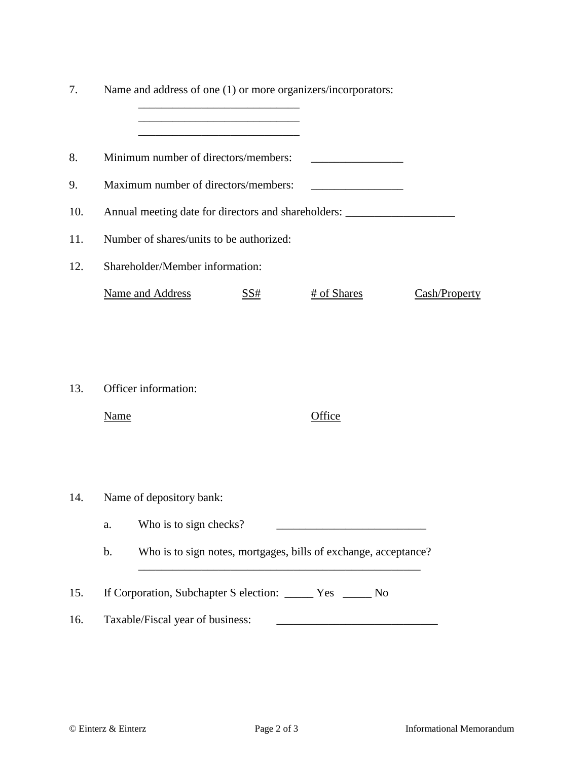| 7.  |                                                                                                                                                         | Name and address of one (1) or more organizers/incorporators: |     |             |               |  |
|-----|---------------------------------------------------------------------------------------------------------------------------------------------------------|---------------------------------------------------------------|-----|-------------|---------------|--|
| 8.  |                                                                                                                                                         | Minimum number of directors/members:                          |     |             |               |  |
| 9.  | Maximum number of directors/members:                                                                                                                    |                                                               |     |             |               |  |
| 10. | Annual meeting date for directors and shareholders: _____________________________                                                                       |                                                               |     |             |               |  |
| 11. | Number of shares/units to be authorized:                                                                                                                |                                                               |     |             |               |  |
| 12. | Shareholder/Member information:                                                                                                                         |                                                               |     |             |               |  |
|     |                                                                                                                                                         | <b>Name and Address</b>                                       | SS# | # of Shares | Cash/Property |  |
| 13. | <b>Name</b>                                                                                                                                             | Officer information:                                          |     | Office      |               |  |
| 14. | Name of depository bank:                                                                                                                                |                                                               |     |             |               |  |
|     | a.                                                                                                                                                      | Who is to sign checks?                                        |     |             |               |  |
|     | Who is to sign notes, mortgages, bills of exchange, acceptance?<br>$\mathbf b$ .                                                                        |                                                               |     |             |               |  |
| 15. | If Corporation, Subchapter S election: _______ Yes ______ No                                                                                            |                                                               |     |             |               |  |
| 16. | Taxable/Fiscal year of business:<br><u> 1989 - Johann Barn, mars ann an t-Amhain an t-Amhain an t-Amhain an t-Amhain an t-Amhain an t-Amhain an t-A</u> |                                                               |     |             |               |  |